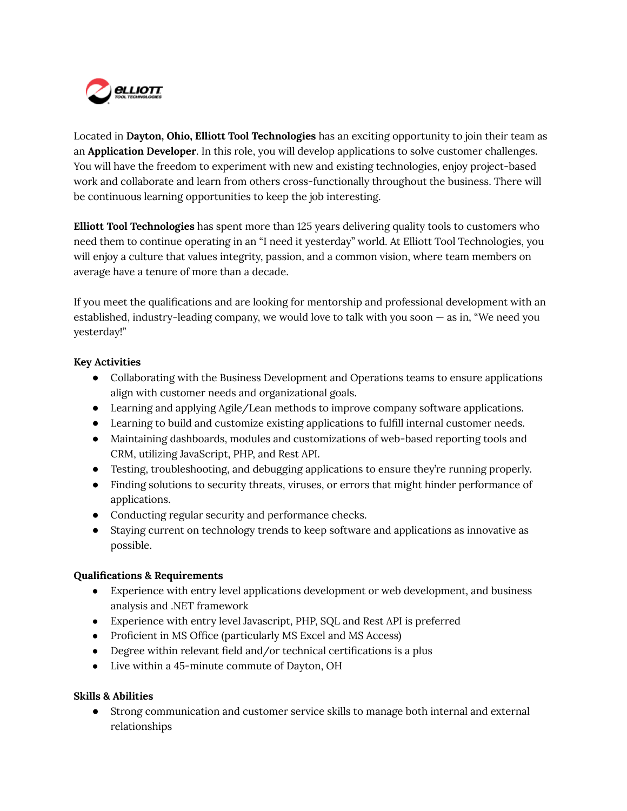

Located in **Dayton, Ohio, Elliott Tool Technologies** has an exciting opportunity to join their team as an **Application Developer**. In this role, you will develop applications to solve customer challenges. You will have the freedom to experiment with new and existing technologies, enjoy project-based work and collaborate and learn from others cross-functionally throughout the business. There will be continuous learning opportunities to keep the job interesting.

**Elliott Tool Technologies** has spent more than 125 years delivering quality tools to customers who need them to continue operating in an "I need it yesterday" world. At Elliott Tool Technologies, you will enjoy a culture that values integrity, passion, and a common vision, where team members on average have a tenure of more than a decade.

If you meet the qualifications and are looking for mentorship and professional development with an established, industry-leading company, we would love to talk with you soon — as in, "We need you yesterday!"

## **Key Activities**

- Collaborating with the Business Development and Operations teams to ensure applications align with customer needs and organizational goals.
- Learning and applying Agile/Lean methods to improve company software applications.
- Learning to build and customize existing applications to fulfill internal customer needs.
- Maintaining dashboards, modules and customizations of web-based reporting tools and CRM, utilizing JavaScript, PHP, and Rest API.
- Testing, troubleshooting, and debugging applications to ensure they're running properly.
- Finding solutions to security threats, viruses, or errors that might hinder performance of applications.
- Conducting regular security and performance checks.
- Staying current on technology trends to keep software and applications as innovative as possible.

## **Qualifications & Requirements**

- Experience with entry level applications development or web development, and business analysis and .NET framework
- Experience with entry level Javascript, PHP, SQL and Rest API is preferred
- Proficient in MS Office (particularly MS Excel and MS Access)
- Degree within relevant field and/or technical certifications is a plus
- Live within a 45-minute commute of Dayton, OH

## **Skills & Abilities**

● Strong communication and customer service skills to manage both internal and external relationships